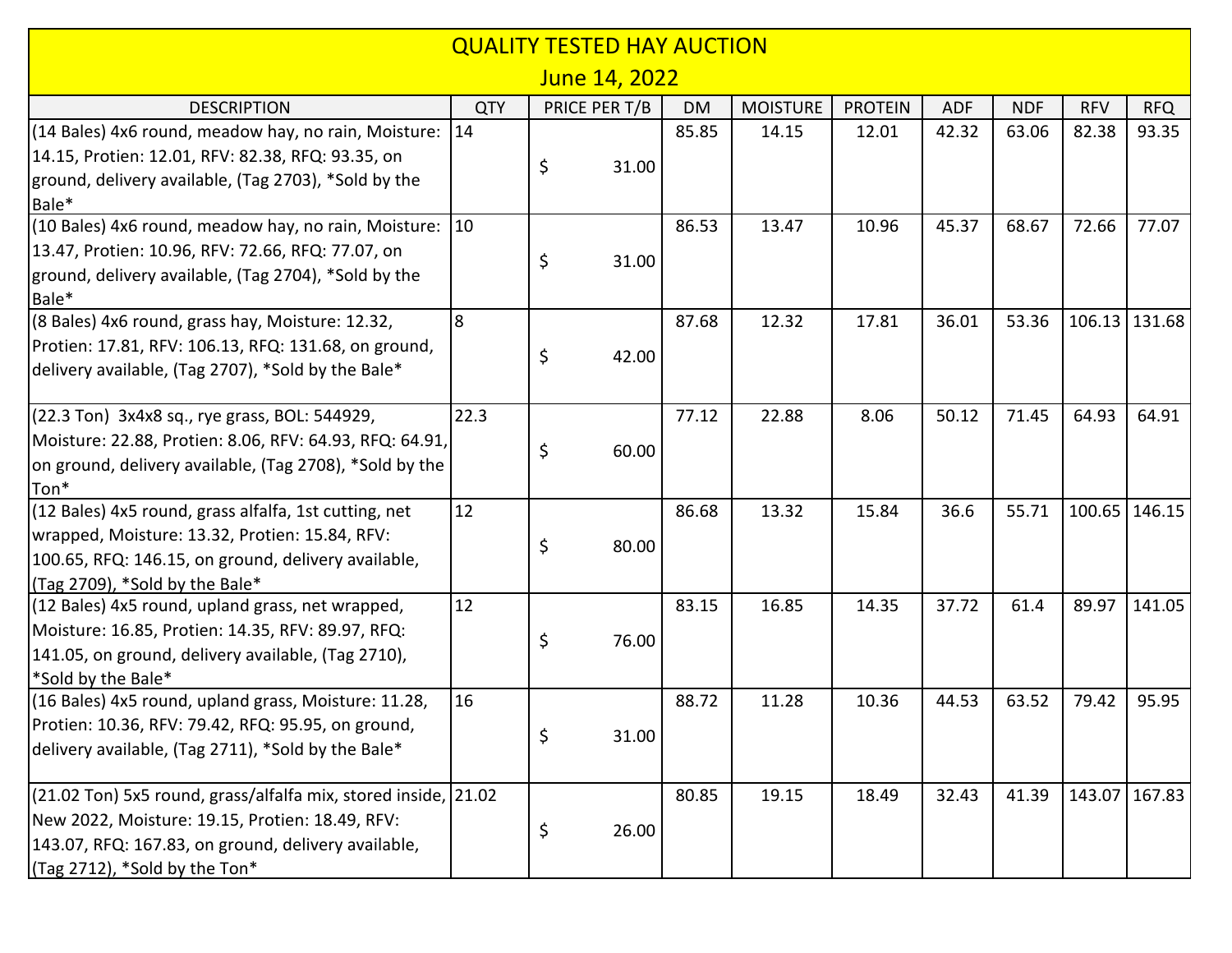| June 14, 2022<br>PRICE PER T/B<br><b>MOISTURE</b><br><b>PROTEIN</b><br><b>ADF</b><br><b>NDF</b><br><b>QTY</b><br><b>DM</b><br><b>RFV</b><br><b>RFQ</b><br><b>DESCRIPTION</b><br>(14 Bales) 4x6 round, meadow hay, no rain, Moisture: 14<br>85.85<br>14.15<br>12.01<br>42.32<br>63.06<br>82.38<br>93.35<br>14.15, Protien: 12.01, RFV: 82.38, RFQ: 93.35, on<br>\$<br>31.00<br>ground, delivery available, (Tag 2703), *Sold by the<br>Bale*<br>(10 Bales) 4x6 round, meadow hay, no rain, Moisture:<br>$ 10\rangle$<br>13.47<br>86.53<br>10.96<br>45.37<br>68.67<br>72.66<br>77.07<br>13.47, Protien: 10.96, RFV: 72.66, RFQ: 77.07, on<br>\$<br>31.00<br>ground, delivery available, (Tag 2704), *Sold by the<br>Bale*<br>8<br>(8 Bales) 4x6 round, grass hay, Moisture: 12.32,<br>87.68<br>12.32<br>17.81<br>36.01<br>53.36<br>106.13<br>Protien: 17.81, RFV: 106.13, RFQ: 131.68, on ground,<br>\$<br>42.00<br>delivery available, (Tag 2707), *Sold by the Bale*<br>22.3<br>22.88<br>71.45<br>64.93<br>(22.3 Ton) 3x4x8 sq., rye grass, BOL: 544929,<br>77.12<br>8.06<br>50.12<br>64.91<br>Moisture: 22.88, Protien: 8.06, RFV: 64.93, RFQ: 64.91,<br>\$<br>60.00<br>on ground, delivery available, (Tag 2708), *Sold by the<br>Ton*<br>12<br>13.32<br>36.6<br>55.71<br>(12 Bales) 4x5 round, grass alfalfa, 1st cutting, net<br>86.68<br>15.84<br>wrapped, Moisture: 13.32, Protien: 15.84, RFV:<br>\$<br>80.00<br>100.65, RFQ: 146.15, on ground, delivery available,<br>$($ Tag 2709), *Sold by the Bale*<br>12<br>83.15<br>16.85<br>14.35<br>37.72<br>61.4<br>89.97<br>(12 Bales) 4x5 round, upland grass, net wrapped,<br>Moisture: 16.85, Protien: 14.35, RFV: 89.97, RFQ:<br>\$<br>76.00<br>141.05, on ground, delivery available, (Tag 2710), |
|-----------------------------------------------------------------------------------------------------------------------------------------------------------------------------------------------------------------------------------------------------------------------------------------------------------------------------------------------------------------------------------------------------------------------------------------------------------------------------------------------------------------------------------------------------------------------------------------------------------------------------------------------------------------------------------------------------------------------------------------------------------------------------------------------------------------------------------------------------------------------------------------------------------------------------------------------------------------------------------------------------------------------------------------------------------------------------------------------------------------------------------------------------------------------------------------------------------------------------------------------------------------------------------------------------------------------------------------------------------------------------------------------------------------------------------------------------------------------------------------------------------------------------------------------------------------------------------------------------------------------------------------------------------------------------------------------------------------------------------------------------------|
|                                                                                                                                                                                                                                                                                                                                                                                                                                                                                                                                                                                                                                                                                                                                                                                                                                                                                                                                                                                                                                                                                                                                                                                                                                                                                                                                                                                                                                                                                                                                                                                                                                                                                                                                                           |
| 131.68<br>100.65   146.15<br>141.05                                                                                                                                                                                                                                                                                                                                                                                                                                                                                                                                                                                                                                                                                                                                                                                                                                                                                                                                                                                                                                                                                                                                                                                                                                                                                                                                                                                                                                                                                                                                                                                                                                                                                                                       |
|                                                                                                                                                                                                                                                                                                                                                                                                                                                                                                                                                                                                                                                                                                                                                                                                                                                                                                                                                                                                                                                                                                                                                                                                                                                                                                                                                                                                                                                                                                                                                                                                                                                                                                                                                           |
|                                                                                                                                                                                                                                                                                                                                                                                                                                                                                                                                                                                                                                                                                                                                                                                                                                                                                                                                                                                                                                                                                                                                                                                                                                                                                                                                                                                                                                                                                                                                                                                                                                                                                                                                                           |
|                                                                                                                                                                                                                                                                                                                                                                                                                                                                                                                                                                                                                                                                                                                                                                                                                                                                                                                                                                                                                                                                                                                                                                                                                                                                                                                                                                                                                                                                                                                                                                                                                                                                                                                                                           |
|                                                                                                                                                                                                                                                                                                                                                                                                                                                                                                                                                                                                                                                                                                                                                                                                                                                                                                                                                                                                                                                                                                                                                                                                                                                                                                                                                                                                                                                                                                                                                                                                                                                                                                                                                           |
|                                                                                                                                                                                                                                                                                                                                                                                                                                                                                                                                                                                                                                                                                                                                                                                                                                                                                                                                                                                                                                                                                                                                                                                                                                                                                                                                                                                                                                                                                                                                                                                                                                                                                                                                                           |
|                                                                                                                                                                                                                                                                                                                                                                                                                                                                                                                                                                                                                                                                                                                                                                                                                                                                                                                                                                                                                                                                                                                                                                                                                                                                                                                                                                                                                                                                                                                                                                                                                                                                                                                                                           |
|                                                                                                                                                                                                                                                                                                                                                                                                                                                                                                                                                                                                                                                                                                                                                                                                                                                                                                                                                                                                                                                                                                                                                                                                                                                                                                                                                                                                                                                                                                                                                                                                                                                                                                                                                           |
|                                                                                                                                                                                                                                                                                                                                                                                                                                                                                                                                                                                                                                                                                                                                                                                                                                                                                                                                                                                                                                                                                                                                                                                                                                                                                                                                                                                                                                                                                                                                                                                                                                                                                                                                                           |
|                                                                                                                                                                                                                                                                                                                                                                                                                                                                                                                                                                                                                                                                                                                                                                                                                                                                                                                                                                                                                                                                                                                                                                                                                                                                                                                                                                                                                                                                                                                                                                                                                                                                                                                                                           |
|                                                                                                                                                                                                                                                                                                                                                                                                                                                                                                                                                                                                                                                                                                                                                                                                                                                                                                                                                                                                                                                                                                                                                                                                                                                                                                                                                                                                                                                                                                                                                                                                                                                                                                                                                           |
|                                                                                                                                                                                                                                                                                                                                                                                                                                                                                                                                                                                                                                                                                                                                                                                                                                                                                                                                                                                                                                                                                                                                                                                                                                                                                                                                                                                                                                                                                                                                                                                                                                                                                                                                                           |
|                                                                                                                                                                                                                                                                                                                                                                                                                                                                                                                                                                                                                                                                                                                                                                                                                                                                                                                                                                                                                                                                                                                                                                                                                                                                                                                                                                                                                                                                                                                                                                                                                                                                                                                                                           |
|                                                                                                                                                                                                                                                                                                                                                                                                                                                                                                                                                                                                                                                                                                                                                                                                                                                                                                                                                                                                                                                                                                                                                                                                                                                                                                                                                                                                                                                                                                                                                                                                                                                                                                                                                           |
|                                                                                                                                                                                                                                                                                                                                                                                                                                                                                                                                                                                                                                                                                                                                                                                                                                                                                                                                                                                                                                                                                                                                                                                                                                                                                                                                                                                                                                                                                                                                                                                                                                                                                                                                                           |
|                                                                                                                                                                                                                                                                                                                                                                                                                                                                                                                                                                                                                                                                                                                                                                                                                                                                                                                                                                                                                                                                                                                                                                                                                                                                                                                                                                                                                                                                                                                                                                                                                                                                                                                                                           |
|                                                                                                                                                                                                                                                                                                                                                                                                                                                                                                                                                                                                                                                                                                                                                                                                                                                                                                                                                                                                                                                                                                                                                                                                                                                                                                                                                                                                                                                                                                                                                                                                                                                                                                                                                           |
|                                                                                                                                                                                                                                                                                                                                                                                                                                                                                                                                                                                                                                                                                                                                                                                                                                                                                                                                                                                                                                                                                                                                                                                                                                                                                                                                                                                                                                                                                                                                                                                                                                                                                                                                                           |
|                                                                                                                                                                                                                                                                                                                                                                                                                                                                                                                                                                                                                                                                                                                                                                                                                                                                                                                                                                                                                                                                                                                                                                                                                                                                                                                                                                                                                                                                                                                                                                                                                                                                                                                                                           |
|                                                                                                                                                                                                                                                                                                                                                                                                                                                                                                                                                                                                                                                                                                                                                                                                                                                                                                                                                                                                                                                                                                                                                                                                                                                                                                                                                                                                                                                                                                                                                                                                                                                                                                                                                           |
|                                                                                                                                                                                                                                                                                                                                                                                                                                                                                                                                                                                                                                                                                                                                                                                                                                                                                                                                                                                                                                                                                                                                                                                                                                                                                                                                                                                                                                                                                                                                                                                                                                                                                                                                                           |
|                                                                                                                                                                                                                                                                                                                                                                                                                                                                                                                                                                                                                                                                                                                                                                                                                                                                                                                                                                                                                                                                                                                                                                                                                                                                                                                                                                                                                                                                                                                                                                                                                                                                                                                                                           |
|                                                                                                                                                                                                                                                                                                                                                                                                                                                                                                                                                                                                                                                                                                                                                                                                                                                                                                                                                                                                                                                                                                                                                                                                                                                                                                                                                                                                                                                                                                                                                                                                                                                                                                                                                           |
|                                                                                                                                                                                                                                                                                                                                                                                                                                                                                                                                                                                                                                                                                                                                                                                                                                                                                                                                                                                                                                                                                                                                                                                                                                                                                                                                                                                                                                                                                                                                                                                                                                                                                                                                                           |
| *Sold by the Bale*                                                                                                                                                                                                                                                                                                                                                                                                                                                                                                                                                                                                                                                                                                                                                                                                                                                                                                                                                                                                                                                                                                                                                                                                                                                                                                                                                                                                                                                                                                                                                                                                                                                                                                                                        |
| 16<br>63.52<br>95.95<br>(16 Bales) 4x5 round, upland grass, Moisture: 11.28,<br>88.72<br>11.28<br>10.36<br>44.53<br>79.42                                                                                                                                                                                                                                                                                                                                                                                                                                                                                                                                                                                                                                                                                                                                                                                                                                                                                                                                                                                                                                                                                                                                                                                                                                                                                                                                                                                                                                                                                                                                                                                                                                 |
| Protien: 10.36, RFV: 79.42, RFQ: 95.95, on ground,<br>\$<br>31.00                                                                                                                                                                                                                                                                                                                                                                                                                                                                                                                                                                                                                                                                                                                                                                                                                                                                                                                                                                                                                                                                                                                                                                                                                                                                                                                                                                                                                                                                                                                                                                                                                                                                                         |
| delivery available, (Tag 2711), *Sold by the Bale*                                                                                                                                                                                                                                                                                                                                                                                                                                                                                                                                                                                                                                                                                                                                                                                                                                                                                                                                                                                                                                                                                                                                                                                                                                                                                                                                                                                                                                                                                                                                                                                                                                                                                                        |
| (21.02 Ton) 5x5 round, grass/alfalfa mix, stored inside, 21.02<br>32.43<br>41.39<br>143.07   167.83<br>80.85<br>19.15<br>18.49                                                                                                                                                                                                                                                                                                                                                                                                                                                                                                                                                                                                                                                                                                                                                                                                                                                                                                                                                                                                                                                                                                                                                                                                                                                                                                                                                                                                                                                                                                                                                                                                                            |
| New 2022, Moisture: 19.15, Protien: 18.49, RFV:                                                                                                                                                                                                                                                                                                                                                                                                                                                                                                                                                                                                                                                                                                                                                                                                                                                                                                                                                                                                                                                                                                                                                                                                                                                                                                                                                                                                                                                                                                                                                                                                                                                                                                           |
| \$<br>26.00<br>143.07, RFQ: 167.83, on ground, delivery available,                                                                                                                                                                                                                                                                                                                                                                                                                                                                                                                                                                                                                                                                                                                                                                                                                                                                                                                                                                                                                                                                                                                                                                                                                                                                                                                                                                                                                                                                                                                                                                                                                                                                                        |
| (Tag 2712), *Sold by the Ton*                                                                                                                                                                                                                                                                                                                                                                                                                                                                                                                                                                                                                                                                                                                                                                                                                                                                                                                                                                                                                                                                                                                                                                                                                                                                                                                                                                                                                                                                                                                                                                                                                                                                                                                             |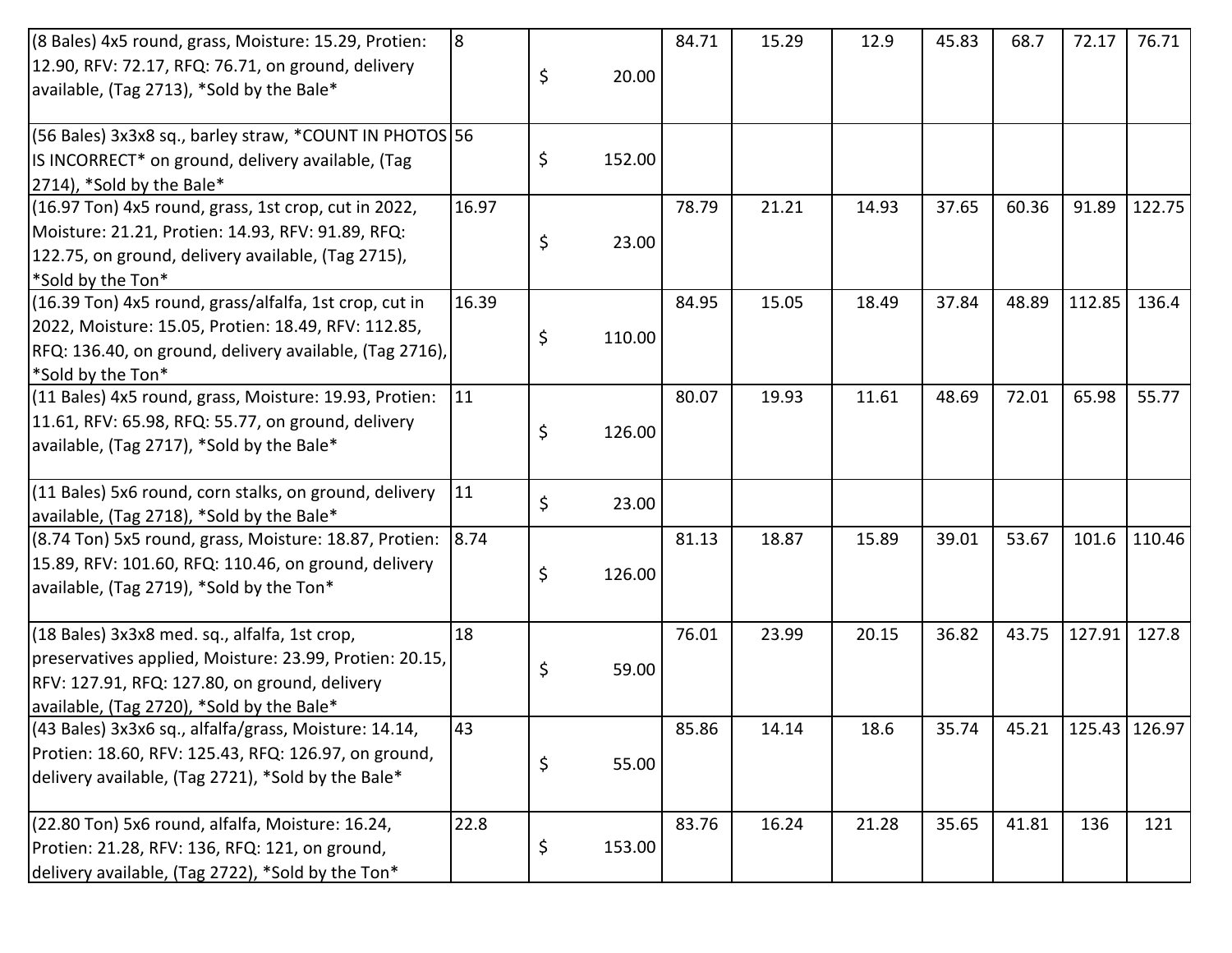| (8 Bales) 4x5 round, grass, Moisture: 15.29, Protien:       | 8     |       |        | 84.71 | 15.29 | 12.9  | 45.83 | 68.7  | 72.17           | 76.71  |
|-------------------------------------------------------------|-------|-------|--------|-------|-------|-------|-------|-------|-----------------|--------|
| 12.90, RFV: 72.17, RFQ: 76.71, on ground, delivery          |       | \$    | 20.00  |       |       |       |       |       |                 |        |
| available, (Tag 2713), *Sold by the Bale*                   |       |       |        |       |       |       |       |       |                 |        |
|                                                             |       |       |        |       |       |       |       |       |                 |        |
| (56 Bales) 3x3x8 sq., barley straw, *COUNT IN PHOTOS 56     |       |       |        |       |       |       |       |       |                 |        |
| IS INCORRECT* on ground, delivery available, (Tag           |       | \$    | 152.00 |       |       |       |       |       |                 |        |
| [2714], *Sold by the Bale*                                  |       |       |        |       |       |       |       |       |                 |        |
| (16.97 Ton) 4x5 round, grass, 1st crop, cut in 2022,        | 16.97 |       |        | 78.79 | 21.21 | 14.93 | 37.65 | 60.36 | 91.89           | 122.75 |
| Moisture: 21.21, Protien: 14.93, RFV: 91.89, RFQ:           |       | \$    | 23.00  |       |       |       |       |       |                 |        |
| 122.75, on ground, delivery available, (Tag 2715),          |       |       |        |       |       |       |       |       |                 |        |
| *Sold by the Ton*                                           |       |       |        |       |       |       |       |       |                 |        |
| (16.39 Ton) 4x5 round, grass/alfalfa, 1st crop, cut in      | 16.39 |       |        | 84.95 | 15.05 | 18.49 | 37.84 | 48.89 | 112.85          | 136.4  |
| 2022, Moisture: 15.05, Protien: 18.49, RFV: 112.85,         |       | \$    | 110.00 |       |       |       |       |       |                 |        |
| RFQ: 136.40, on ground, delivery available, (Tag 2716),     |       |       |        |       |       |       |       |       |                 |        |
| *Sold by the Ton*                                           |       |       |        |       |       |       |       |       |                 |        |
| (11 Bales) 4x5 round, grass, Moisture: 19.93, Protien:      | 11    |       |        | 80.07 | 19.93 | 11.61 | 48.69 | 72.01 | 65.98           | 55.77  |
| 11.61, RFV: 65.98, RFQ: 55.77, on ground, delivery          |       | S     | 126.00 |       |       |       |       |       |                 |        |
| available, (Tag 2717), *Sold by the Bale*                   |       |       |        |       |       |       |       |       |                 |        |
|                                                             |       |       |        |       |       |       |       |       |                 |        |
| (11 Bales) 5x6 round, corn stalks, on ground, delivery      | 11    | \$    | 23.00  |       |       |       |       |       |                 |        |
| available, (Tag 2718), *Sold by the Bale*                   |       |       |        |       |       |       |       |       |                 |        |
| (8.74 Ton) 5x5 round, grass, Moisture: 18.87, Protien: 8.74 |       |       |        | 81.13 | 18.87 | 15.89 | 39.01 | 53.67 | 101.6           | 110.46 |
| [15.89, RFV: 101.60, RFQ: 110.46, on ground, delivery       |       | \$    | 126.00 |       |       |       |       |       |                 |        |
| available, (Tag 2719), *Sold by the Ton*                    |       |       |        |       |       |       |       |       |                 |        |
|                                                             |       |       |        |       |       |       |       |       |                 |        |
| (18 Bales) 3x3x8 med. sq., alfalfa, 1st crop,               | 18    |       |        | 76.01 | 23.99 | 20.15 | 36.82 | 43.75 | 127.91          | 127.8  |
| preservatives applied, Moisture: 23.99, Protien: 20.15,     |       | \$    | 59.00  |       |       |       |       |       |                 |        |
| RFV: 127.91, RFQ: 127.80, on ground, delivery               |       |       |        |       |       |       |       |       |                 |        |
| available, (Tag 2720), *Sold by the Bale*                   |       |       |        |       |       |       |       |       |                 |        |
| (43 Bales) 3x3x6 sq., alfalfa/grass, Moisture: 14.14,       | 43    |       |        | 85.86 | 14.14 | 18.6  | 35.74 | 45.21 | $125.43$ 126.97 |        |
| Protien: 18.60, RFV: 125.43, RFQ: 126.97, on ground,        | \$    | 55.00 |        |       |       |       |       |       |                 |        |
| delivery available, (Tag 2721), *Sold by the Bale*          |       |       |        |       |       |       |       |       |                 |        |
|                                                             |       |       |        |       |       |       |       |       |                 |        |
| (22.80 Ton) 5x6 round, alfalfa, Moisture: 16.24,            | 22.8  |       |        | 83.76 | 16.24 | 21.28 | 35.65 | 41.81 | 136             | 121    |
| Protien: 21.28, RFV: 136, RFQ: 121, on ground,              |       | \$    | 153.00 |       |       |       |       |       |                 |        |
| delivery available, (Tag 2722), *Sold by the Ton*           |       |       |        |       |       |       |       |       |                 |        |